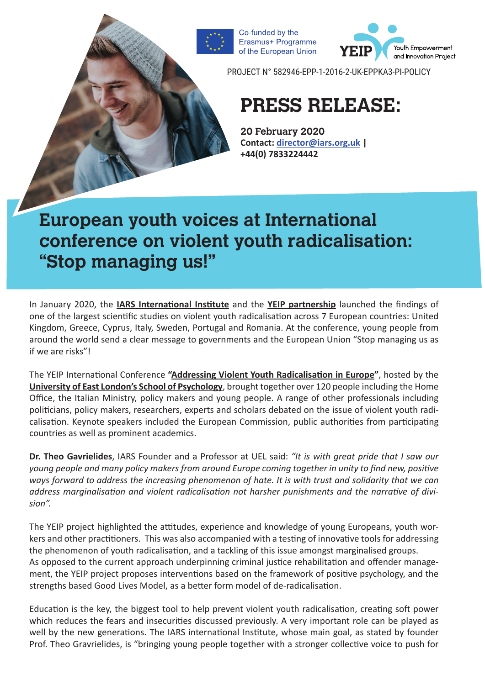of the European Union

Co-funded by the Erasmus+ Programme



PROJECT N° 582946-EPP-1-2016-2-UK-EPPKA3-PI-POLICY

# **PRESS RELEASE:**

**20 February 2020 Contact: [director@iars.org.uk](mailto:director@iars.org.uk) | +44(0) 7833224442**

## **European youth voices at International conference on violent youth radicalisation: "Stop managing us!"**

In January 2020, the **[IARS International Institute](http://www.iars.org.uk/online/)** and the **[YEIP partnership](https://yeip.org/partnership/)** launched the findings of one of the largest scientific studies on violent youth radicalisation across 7 European countries: United Kingdom, Greece, Cyprus, Italy, Sweden, Portugal and Romania. At the conference, young people from around the world send a clear message to governments and the European Union "Stop managing us as if we are risks"!

The YEIP International Conference **"[Addressing Violent Youth Radicalisation in Europe](https://yeip.org/yeip-final-conference-london-2020/)"**, hosted by the **[University of East London's School of Psychology](https://www.uel.ac.uk/)**, brought together over 120 people including the Home Office, the Italian Ministry, policy makers and young people. A range of other professionals including politicians, policy makers, researchers, experts and scholars debated on the issue of violent youth radicalisation. Keynote speakers included the European Commission, public authorities from participating countries as well as prominent academics.

**Dr. Theo Gavrielides**, IARS Founder and a Professor at UEL said: *"It is with great pride that I saw our young people and many policy makers from around Europe coming together in unity to find new, positive ways forward to address the increasing phenomenon of hate. It is with trust and solidarity that we can address marginalisation and violent radicalisation not harsher punishments and the narrative of division".*

The YEIP project highlighted the attitudes, experience and knowledge of young Europeans, youth workers and other practitioners. This was also accompanied with a testing of innovative tools for addressing the phenomenon of youth radicalisation, and a tackling of this issue amongst marginalised groups. As opposed to the current approach underpinning criminal justice rehabilitation and offender management, the YEIP project proposes interventions based on the framework of positive psychology, and the strengths based Good Lives Model, as a better form model of de-radicalisation.

Education is the key, the biggest tool to help prevent violent youth radicalisation, creating soft power which reduces the fears and insecurities discussed previously. A very important role can be played as well by the new generations. The IARS international Institute, whose main goal, as stated by founder Prof. Theo Gravrielides, is "bringing young people together with a stronger collective voice to push for